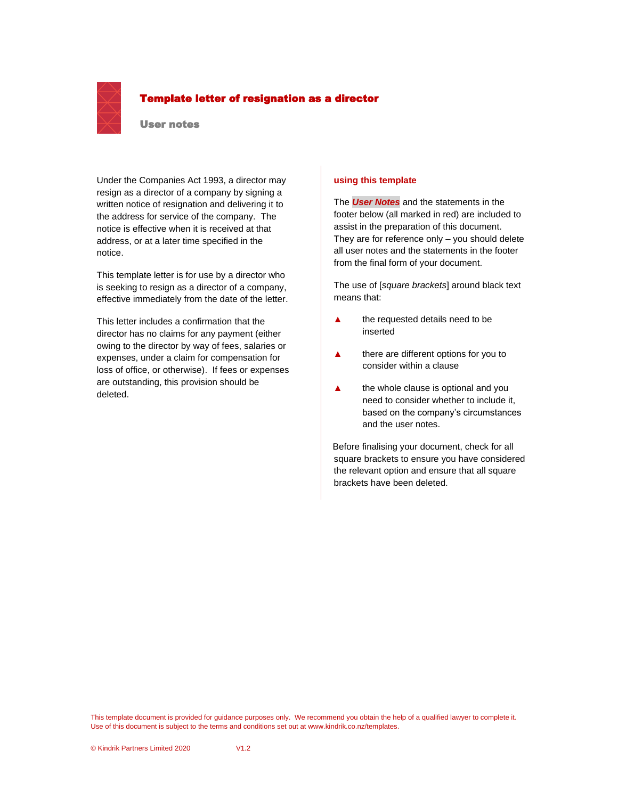

### Template letter of resignation as a director

#### User notes

Under the Companies Act 1993, a director may resign as a director of a company by signing a written notice of resignation and delivering it to the address for service of the company. The notice is effective when it is received at that address, or at a later time specified in the notice.

This template letter is for use by a director who is seeking to resign as a director of a company, effective immediately from the date of the letter.

This letter includes a confirmation that the director has no claims for any payment (either owing to the director by way of fees, salaries or expenses, under a claim for compensation for loss of office, or otherwise). If fees or expenses are outstanding, this provision should be deleted.

#### **using this template**

The *User Notes* and the statements in the footer below (all marked in red) are included to assist in the preparation of this document. They are for reference only – you should delete all user notes and the statements in the footer from the final form of your document.

The use of [*square brackets*] around black text means that:

- **▲** the requested details need to be inserted
- **▲** there are different options for you to consider within a clause
- **▲** the whole clause is optional and you need to consider whether to include it, based on the company's circumstances and the user notes.

Before finalising your document, check for all square brackets to ensure you have considered the relevant option and ensure that all square brackets have been deleted.

This template document is provided for guidance purposes only. We recommend you obtain the help of a qualified lawyer to complete it. Use of this document is subject to the terms and conditions set out at www.kindrik.co.nz/templates.